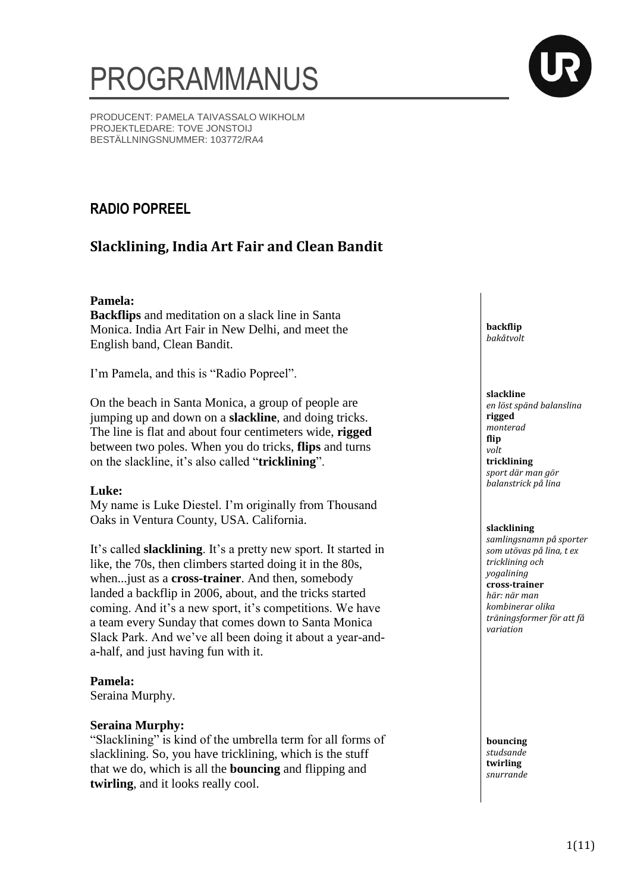# PROGRAMMANUS

PRODUCENT: PAMELA TAIVASSALO WIKHOLM PROJEKTLEDARE: TOVE JONSTOIJ BESTÄLLNINGSNUMMER: 103772/RA4



# **Slacklining, India Art Fair and Clean Bandit**

#### **Pamela:**

**Backflips** and meditation on a slack line in Santa Monica. India Art Fair in New Delhi, and meet the English band, Clean Bandit.

I'm Pamela, and this is "Radio Popreel".

On the beach in Santa Monica, a group of people are jumping up and down on a **slackline**, and doing tricks. The line is flat and about four centimeters wide, **rigged**  between two poles. When you do tricks, **flips** and turns on the slackline, it's also called "**tricklining**".

#### **Luke:**

My name is Luke Diestel. I'm originally from Thousand Oaks in Ventura County, USA. California.

It's called **slacklining**. It's a pretty new sport. It started in like, the 70s, then climbers started doing it in the 80s, when...just as a **cross-trainer**. And then, somebody landed a backflip in 2006, about, and the tricks started coming. And it's a new sport, it's competitions. We have a team every Sunday that comes down to Santa Monica Slack Park. And we've all been doing it about a year-anda-half, and just having fun with it.

#### **Pamela:**

Seraina Murphy.

#### **Seraina Murphy:**

"Slacklining" is kind of the umbrella term for all forms of slacklining. So, you have tricklining, which is the stuff that we do, which is all the **bouncing** and flipping and **twirling**, and it looks really cool.

**backflip** *bakåtvolt*

#### **slackline**

*en löst spänd balanslina* **rigged** *monterad* **flip** *volt* **tricklining** *sport där man gör balanstrick på lina*

#### **slacklining**

*samlingsnamn på sporter som utövas på lina, t ex tricklining och yogalining* **cross-trainer** *här: när man kombinerar olika träningsformer för att få variation*

**bouncing** *studsande* **twirling** *snurrande*

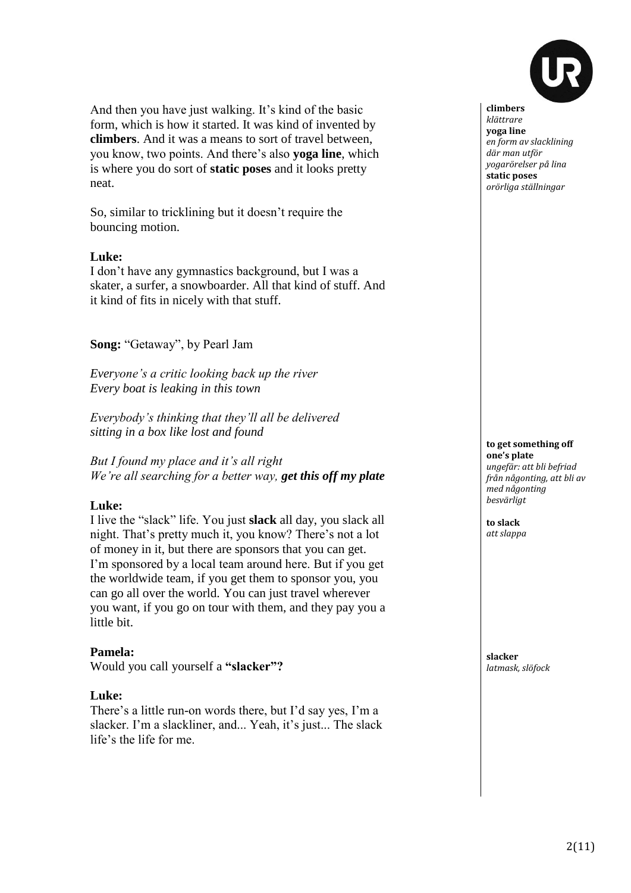

And then you have just walking. It's kind of the basic form, which is how it started. It was kind of invented by **climbers**. And it was a means to sort of travel between, you know, two points. And there's also **yoga line**, which is where you do sort of **static poses** and it looks pretty neat.

So, similar to tricklining but it doesn't require the bouncing motion.

#### **Luke:**

I don't have any gymnastics background, but I was a skater, a surfer, a snowboarder. All that kind of stuff. And it kind of fits in nicely with that stuff.

**Song:** "Getaway", by Pearl Jam

*Everyone's a critic looking back up the river Every boat is leaking in this town*

*Everybody's thinking that they'll all be delivered sitting in a box like lost and found*

*But I found my place and it's all right We're all searching for a better way, get this off my plate*

## **Luke:**

I live the "slack" life. You just **slack** all day, you slack all night. That's pretty much it, you know? There's not a lot of money in it, but there are sponsors that you can get. I'm sponsored by a local team around here. But if you get the worldwide team, if you get them to sponsor you, you can go all over the world. You can just travel wherever you want, if you go on tour with them, and they pay you a little bit.

#### **Pamela:**

Would you call yourself a **"slacker"?**

#### **Luke:**

There's a little run-on words there, but I'd say yes, I'm a slacker. I'm a slackliner, and... Yeah, it's just... The slack life's the life for me.

**climbers** *klättrare* **yoga line** *en form av slacklining där man utför yogarörelser på lina*  **static poses** *orörliga ställningar*

**to get something off one's plate** *ungefär: att bli befriad från någonting, att bli av med någonting besvärligt*

**to slack** *att slappa*

**slacker** *latmask, slöfock*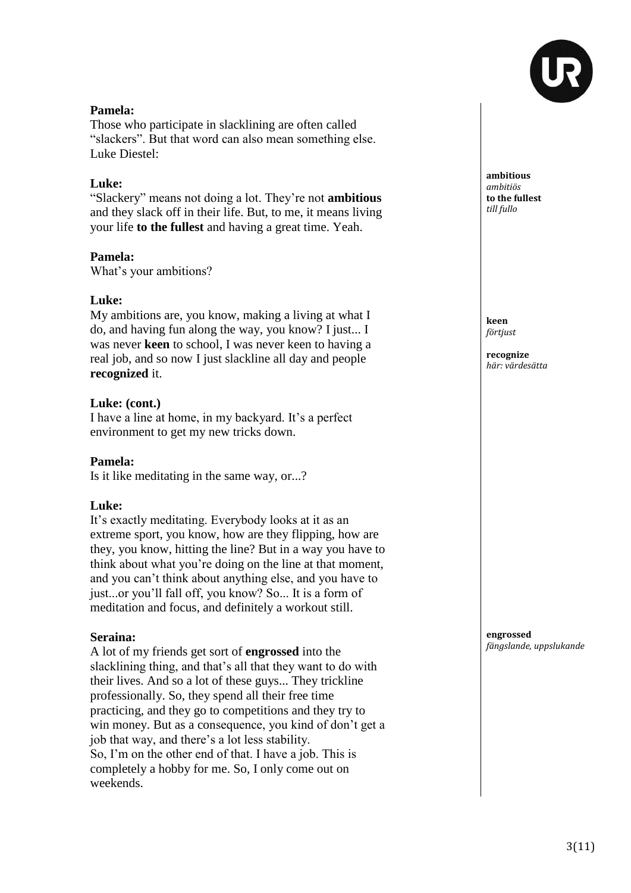

#### **Pamela:**

Those who participate in slacklining are often called "slackers". But that word can also mean something else. Luke Diestel:

## **Luke:**

"Slackery" means not doing a lot. They're not **ambitious** and they slack off in their life. But, to me, it means living your life **to the fullest** and having a great time. Yeah.

#### **Pamela:**

What's your ambitions?

#### **Luke:**

My ambitions are, you know, making a living at what I do, and having fun along the way, you know? I just... I was never **keen** to school, I was never keen to having a real job, and so now I just slackline all day and people **recognized** it.

#### **Luke: (cont.)**

I have a line at home, in my backyard. It's a perfect environment to get my new tricks down.

#### **Pamela:**

Is it like meditating in the same way, or...?

#### **Luke:**

It's exactly meditating. Everybody looks at it as an extreme sport, you know, how are they flipping, how are they, you know, hitting the line? But in a way you have to think about what you're doing on the line at that moment, and you can't think about anything else, and you have to just...or you'll fall off, you know? So... It is a form of meditation and focus, and definitely a workout still.

#### **Seraina:**

A lot of my friends get sort of **engrossed** into the slacklining thing, and that's all that they want to do with their lives. And so a lot of these guys... They trickline professionally. So, they spend all their free time practicing, and they go to competitions and they try to win money. But as a consequence, you kind of don't get a job that way, and there's a lot less stability. So, I'm on the other end of that. I have a job. This is completely a hobby for me. So, I only come out on weekends.

**ambitious** *ambitiös* **to the fullest** *till fullo*

**keen** *förtjust*

**recognize** *här: värdesätta*

**engrossed** *fängslande, uppslukande*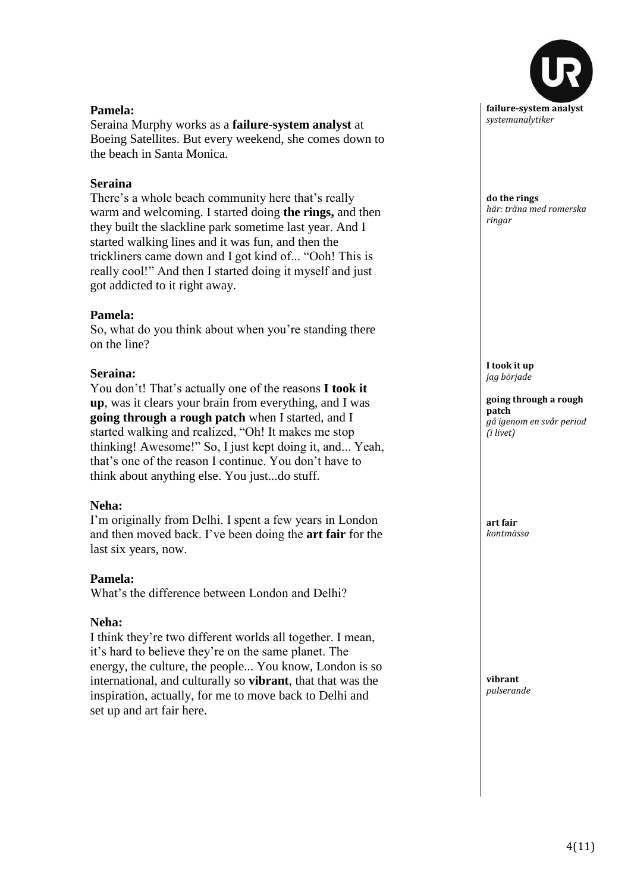# **failure-system analyst** *systemanalytiker*

**Pamela:**

Seraina Murphy works as a **failure-system analyst** at Boeing Satellites. But every weekend, she comes down to the beach in Santa Monica.

#### **Seraina**

There's a whole beach community here that's really warm and welcoming. I started doing **the rings,** and then they built the slackline park sometime last year. And I started walking lines and it was fun, and then the trickliners came down and I got kind of... "Ooh! This is really cool!" And then I started doing it myself and just got addicted to it right away.

#### **Pamela:**

So, what do you think about when you're standing there on the line?

#### **Seraina:**

You don't! That's actually one of the reasons **I took it up**, was it clears your brain from everything, and I was **going through a rough patch** when I started, and I started walking and realized, "Oh! It makes me stop thinking! Awesome!" So, I just kept doing it, and... Yeah, that's one of the reason I continue. You don't have to think about anything else. You just...do stuff.

#### **Neha:**

I'm originally from Delhi. I spent a few years in London and then moved back. I've been doing the **art fair** for the last six years, now.

#### **Pamela:**

What's the difference between London and Delhi?

#### **Neha:**

I think they're two different worlds all together. I mean, it's hard to believe they're on the same planet. The energy, the culture, the people... You know, London is so international, and culturally so **vibrant**, that that was the inspiration, actually, for me to move back to Delhi and set up and art fair here.

**do the rings** *här: träna med romerska ringar*

**I took it up** *jag började*

**going through a rough patch** *gå igenom en svår period (i livet)*

**art fair** *kontmässa*

**vibrant** *pulserande*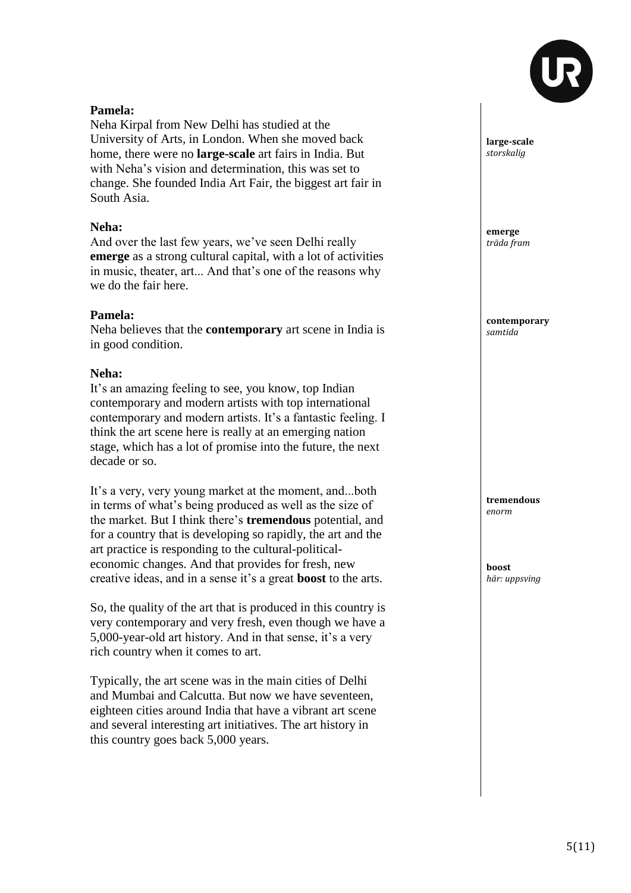

#### **Pamela:**

Neha Kirpal from New Delhi has studied at the University of Arts, in London. When she moved back home, there were no **large-scale** art fairs in India. But with Neha's vision and determination, this was set to change. She founded India Art Fair, the biggest art fair in South Asia.

#### **Neha:**

And over the last few years, we've seen Delhi really **emerge** as a strong cultural capital, with a lot of activities in music, theater, art... And that's one of the reasons why we do the fair here.

#### **Pamela:**

Neha believes that the **contemporary** art scene in India is in good condition.

#### **Neha:**

It's an amazing feeling to see, you know, top Indian contemporary and modern artists with top international contemporary and modern artists. It's a fantastic feeling. I think the art scene here is really at an emerging nation stage, which has a lot of promise into the future, the next decade or so.

It's a very, very young market at the moment, and...both in terms of what's being produced as well as the size of the market. But I think there's **tremendous** potential, and for a country that is developing so rapidly, the art and the art practice is responding to the cultural-politicaleconomic changes. And that provides for fresh, new creative ideas, and in a sense it's a great **boost** to the arts.

So, the quality of the art that is produced in this country is very contemporary and very fresh, even though we have a 5,000-year-old art history. And in that sense, it's a very rich country when it comes to art.

Typically, the art scene was in the main cities of Delhi and Mumbai and Calcutta. But now we have seventeen, eighteen cities around India that have a vibrant art scene and several interesting art initiatives. The art history in this country goes back 5,000 years.

**large-scale** *storskalig*

**emerge** *träda fram*

**contemporary** *samtida*

**tremendous** *enorm*

**boost** *här: uppsving*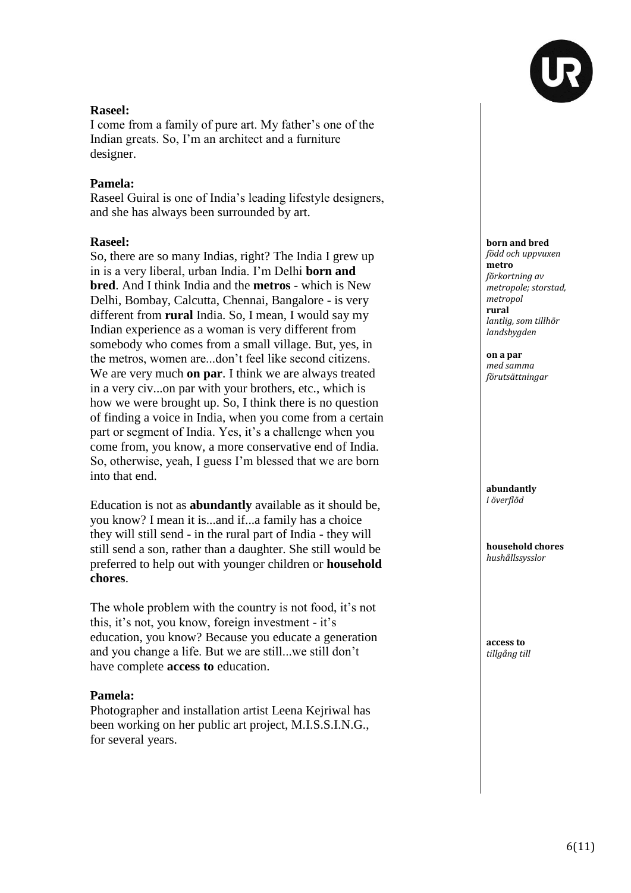

#### **Raseel:**

I come from a family of pure art. My father's one of the Indian greats. So, I'm an architect and a furniture designer.

# **Pamela:**

Raseel Guiral is one of India's leading lifestyle designers, and she has always been surrounded by art.

## **Raseel:**

So, there are so many Indias, right? The India I grew up in is a very liberal, urban India. I'm Delhi **born and bred**. And I think India and the **metros** - which is New Delhi, Bombay, Calcutta, Chennai, Bangalore - is very different from **rural** India. So, I mean, I would say my Indian experience as a woman is very different from somebody who comes from a small village. But, yes, in the metros, women are...don't feel like second citizens. We are very much **on par**. I think we are always treated in a very civ...on par with your brothers, etc., which is how we were brought up. So, I think there is no question of finding a voice in India, when you come from a certain part or segment of India. Yes, it's a challenge when you come from, you know, a more conservative end of India. So, otherwise, yeah, I guess I'm blessed that we are born into that end.

Education is not as **abundantly** available as it should be, you know? I mean it is...and if...a family has a choice they will still send - in the rural part of India - they will still send a son, rather than a daughter. She still would be preferred to help out with younger children or **household chores**.

The whole problem with the country is not food, it's not this, it's not, you know, foreign investment - it's education, you know? Because you educate a generation and you change a life. But we are still...we still don't have complete **access to** education.

#### **Pamela:**

Photographer and installation artist Leena Kejriwal has been working on her public art project, M.I.S.S.I.N.G., for several years.

#### **born and bred**

*född och uppvuxen* **metro** *förkortning av metropole; storstad, metropol* **rural** *lantlig, som tillhör landsbygden*

**on a par** *med samma förutsättningar*

**abundantly** *i överflöd*

**household chores** *hushållssysslor*

**access to** *tillgång till*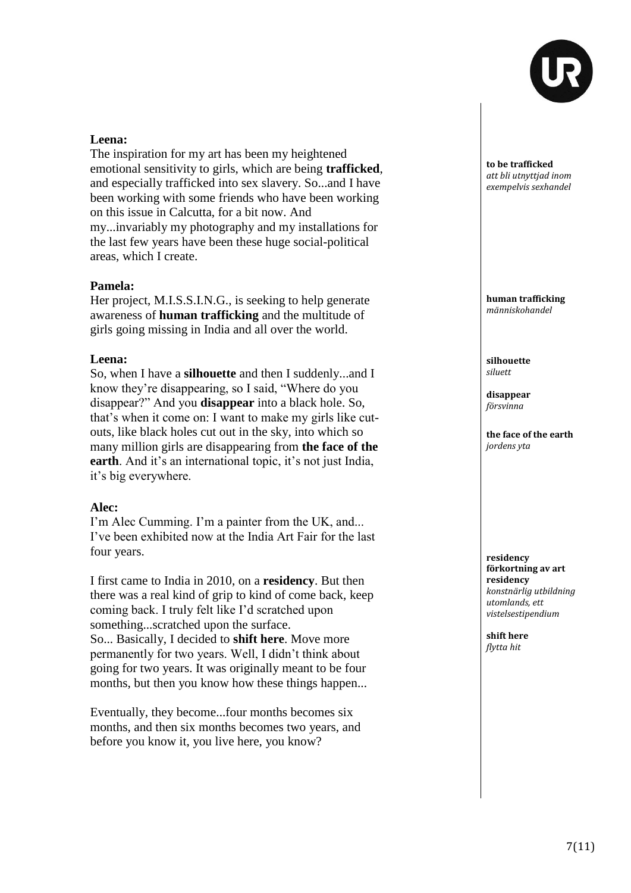

#### **Leena:**

The inspiration for my art has been my heightened emotional sensitivity to girls, which are being **trafficked**, and especially trafficked into sex slavery. So...and I have been working with some friends who have been working on this issue in Calcutta, for a bit now. And my...invariably my photography and my installations for the last few years have been these huge social-political areas, which I create.

#### **Pamela:**

Her project, M.I.S.S.I.N.G., is seeking to help generate awareness of **human trafficking** and the multitude of girls going missing in India and all over the world.

#### **Leena:**

So, when I have a **silhouette** and then I suddenly...and I know they're disappearing, so I said, "Where do you disappear?" And you **disappear** into a black hole. So, that's when it come on: I want to make my girls like cutouts, like black holes cut out in the sky, into which so many million girls are disappearing from **the face of the earth**. And it's an international topic, it's not just India, it's big everywhere.

#### **Alec:**

I'm Alec Cumming. I'm a painter from the UK, and... I've been exhibited now at the India Art Fair for the last four years.

I first came to India in 2010, on a **residency**. But then there was a real kind of grip to kind of come back, keep coming back. I truly felt like I'd scratched upon something...scratched upon the surface. So... Basically, I decided to **shift here**. Move more permanently for two years. Well, I didn't think about going for two years. It was originally meant to be four months, but then you know how these things happen...

Eventually, they become...four months becomes six months, and then six months becomes two years, and before you know it, you live here, you know?

#### **to be trafficked**  *att bli utnyttjad inom exempelvis sexhandel*

**human trafficking** *människohandel*

**silhouette** *siluett*

**disappear** *försvinna*

**the face of the earth** *jordens yta*

**residency förkortning av art residency** *konstnärlig utbildning utomlands, ett vistelsestipendium*

**shift here**  *flytta hit*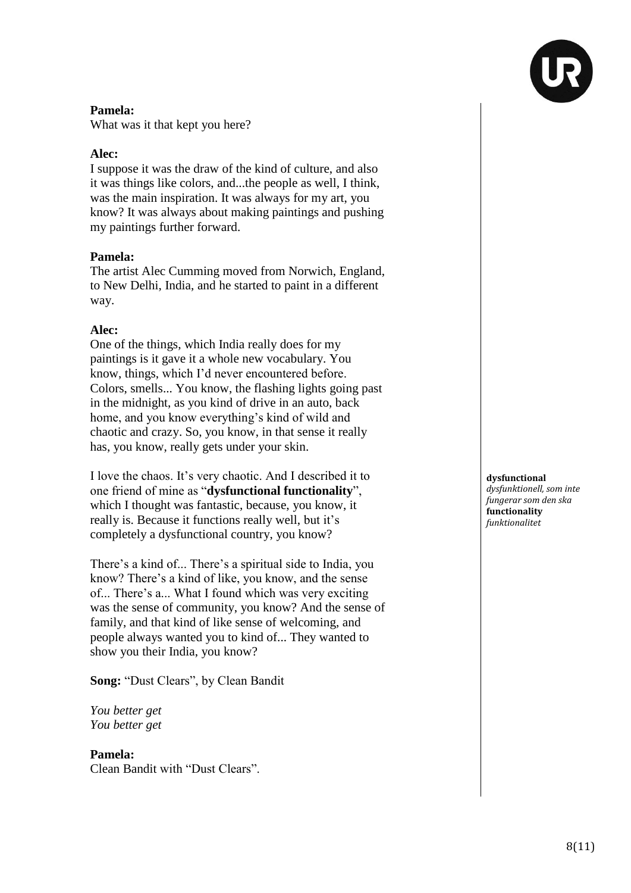

**Pamela:** What was it that kept you here?

#### **Alec:**

I suppose it was the draw of the kind of culture, and also it was things like colors, and...the people as well, I think, was the main inspiration. It was always for my art, you know? It was always about making paintings and pushing my paintings further forward.

#### **Pamela:**

The artist Alec Cumming moved from Norwich, England, to New Delhi, India, and he started to paint in a different way.

#### **Alec:**

One of the things, which India really does for my paintings is it gave it a whole new vocabulary. You know, things, which I'd never encountered before. Colors, smells... You know, the flashing lights going past in the midnight, as you kind of drive in an auto, back home, and you know everything's kind of wild and chaotic and crazy. So, you know, in that sense it really has, you know, really gets under your skin.

I love the chaos. It's very chaotic. And I described it to one friend of mine as "**dysfunctional functionality**", which I thought was fantastic, because, you know, it really is. Because it functions really well, but it's completely a dysfunctional country, you know?

There's a kind of... There's a spiritual side to India, you know? There's a kind of like, you know, and the sense of... There's a... What I found which was very exciting was the sense of community, you know? And the sense of family, and that kind of like sense of welcoming, and people always wanted you to kind of... They wanted to show you their India, you know?

**Song:** "Dust Clears", by Clean Bandit

*You better get You better get*

#### **Pamela:**

Clean Bandit with "Dust Clears".

**dysfunctional** *dysfunktionell, som inte fungerar som den ska* **functionality** *funktionalitet*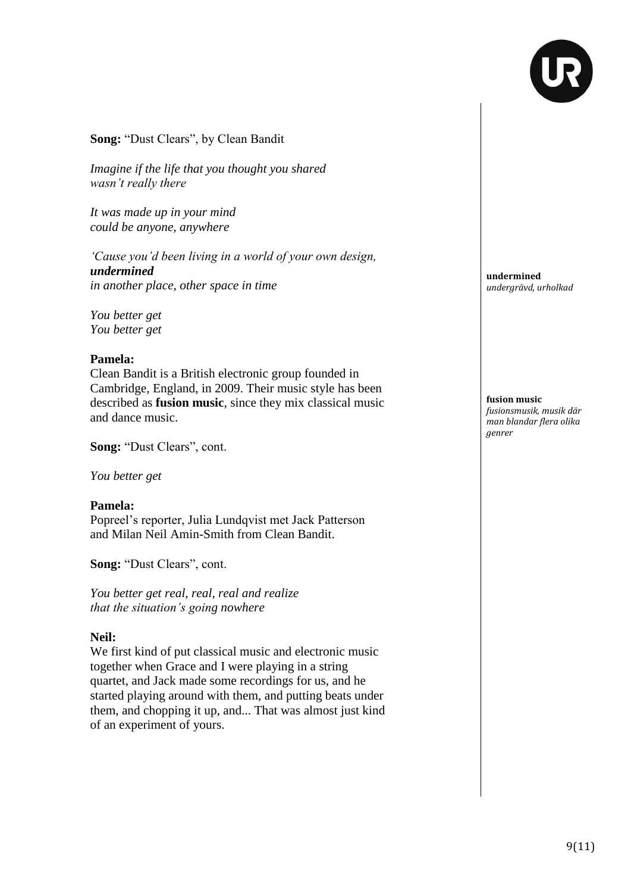

#### **Song:** "Dust Clears", by Clean Bandit

*Imagine if the life that you thought you shared wasn't really there*

*It was made up in your mind could be anyone, anywhere*

*'Cause you'd been living in a world of your own design, undermined in another place, other space in time*

*You better get You better get*

#### **Pamela:**

Clean Bandit is a British electronic group founded in Cambridge, England, in 2009. Their music style has been described as **fusion music**, since they mix classical music and dance music.

**Song:** "Dust Clears", cont.

*You better get*

#### **Pamela:**

Popreel's reporter, Julia Lundqvist met Jack Patterson and Milan Neil Amin-Smith from Clean Bandit.

**Song:** "Dust Clears", cont.

*You better get real, real, real and realize that the situation's going nowhere*

#### **Neil:**

We first kind of put classical music and electronic music together when Grace and I were playing in a string quartet, and Jack made some recordings for us, and he started playing around with them, and putting beats under them, and chopping it up, and... That was almost just kind of an experiment of yours.

**undermined** *undergrävd, urholkad*

**fusion music** *fusionsmusik, musik där man blandar flera olika genrer*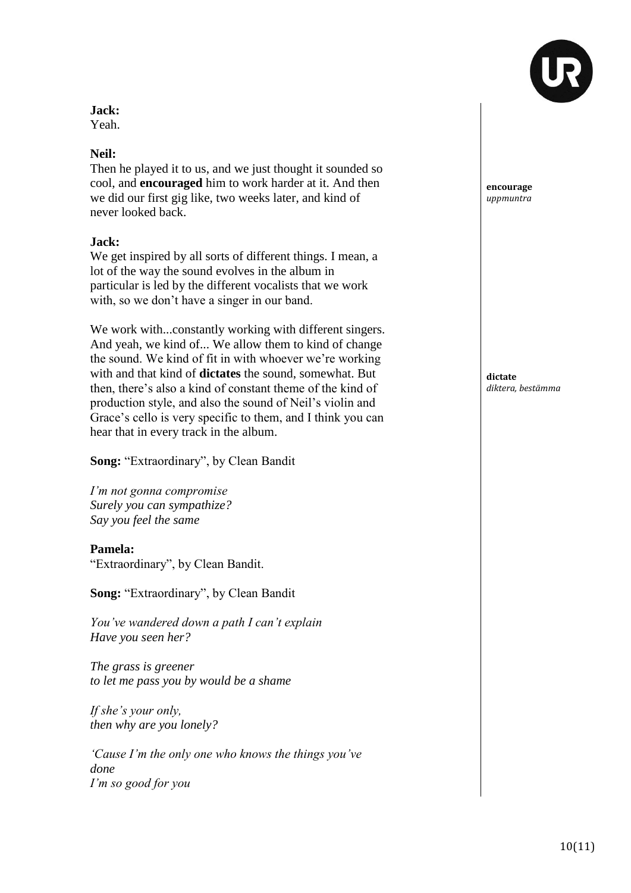

**Jack:**

Yeah.

#### **Neil:**

Then he played it to us, and we just thought it sounded so cool, and **encouraged** him to work harder at it. And then we did our first gig like, two weeks later, and kind of never looked back.

#### **Jack:**

We get inspired by all sorts of different things. I mean, a lot of the way the sound evolves in the album in particular is led by the different vocalists that we work with, so we don't have a singer in our band.

We work with...constantly working with different singers. And yeah, we kind of... We allow them to kind of change the sound. We kind of fit in with whoever we're working with and that kind of **dictates** the sound, somewhat. But then, there's also a kind of constant theme of the kind of production style, and also the sound of Neil's violin and Grace's cello is very specific to them, and I think you can hear that in every track in the album.

**Song:** "Extraordinary", by Clean Bandit

*I'm not gonna compromise Surely you can sympathize? Say you feel the same*

#### **Pamela:**

"Extraordinary", by Clean Bandit.

**Song:** "Extraordinary", by Clean Bandit

*You've wandered down a path I can't explain Have you seen her?*

*The grass is greener to let me pass you by would be a shame*

*If she's your only, then why are you lonely?*

*'Cause I'm the only one who knows the things you've done I'm so good for you*

#### **encourage** *uppmuntra*

**dictate** *diktera, bestämma*